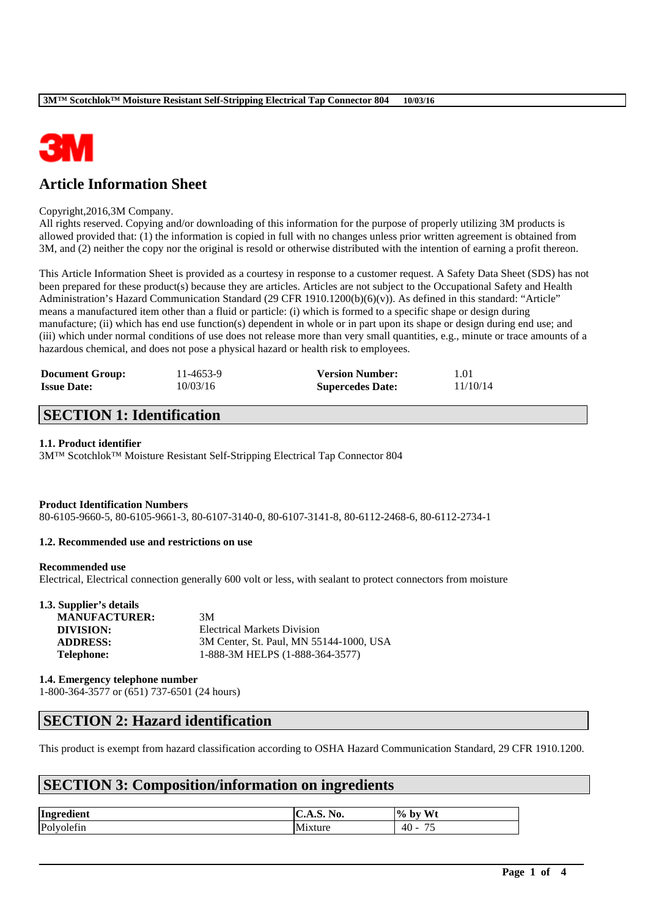

# **Article Information Sheet**

#### Copyright,2016,3M Company.

All rights reserved. Copying and/or downloading of this information for the purpose of properly utilizing 3M products is allowed provided that: (1) the information is copied in full with no changes unless prior written agreement is obtained from 3M, and (2) neither the copy nor the original is resold or otherwise distributed with the intention of earning a profit thereon.

This Article Information Sheet is provided as a courtesy in response to a customer request. A Safety Data Sheet (SDS) has not been prepared for these product(s) because they are articles. Articles are not subject to the Occupational Safety and Health Administration's Hazard Communication Standard (29 CFR 1910.1200(b)(6)(v)). As defined in this standard: "Article" means a manufactured item other than a fluid or particle: (i) which is formed to a specific shape or design during manufacture; (ii) which has end use function(s) dependent in whole or in part upon its shape or design during end use; and (iii) which under normal conditions of use does not release more than very small quantities, e.g., minute or trace amounts of a hazardous chemical, and does not pose a physical hazard or health risk to employees.

| <b>Document Group:</b> | 11-4653-9 | <b>Version Number:</b>  | 1.01     |
|------------------------|-----------|-------------------------|----------|
| <b>Issue Date:</b>     | 10/03/16  | <b>Supercedes Date:</b> | 11/10/14 |

# **SECTION 1: Identification**

#### **1.1. Product identifier**

3M™ Scotchlok™ Moisture Resistant Self-Stripping Electrical Tap Connector 804

## **Product Identification Numbers**

80-6105-9660-5, 80-6105-9661-3, 80-6107-3140-0, 80-6107-3141-8, 80-6112-2468-6, 80-6112-2734-1

### **1.2. Recommended use and restrictions on use**

#### **Recommended use**

Electrical, Electrical connection generally 600 volt or less, with sealant to protect connectors from moisture

| 1.3. Supplier's details |                                         |
|-------------------------|-----------------------------------------|
| <b>MANUFACTURER:</b>    | 3M                                      |
| DIVISION:               | <b>Electrical Markets Division</b>      |
| <b>ADDRESS:</b>         | 3M Center, St. Paul, MN 55144-1000, USA |
| <b>Telephone:</b>       | 1-888-3M HELPS (1-888-364-3577)         |
|                         |                                         |

**1.4. Emergency telephone number**

1-800-364-3577 or (651) 737-6501 (24 hours)

# **SECTION 2: Hazard identification**

This product is exempt from hazard classification according to OSHA Hazard Communication Standard, 29 CFR 1910.1200.

\_\_\_\_\_\_\_\_\_\_\_\_\_\_\_\_\_\_\_\_\_\_\_\_\_\_\_\_\_\_\_\_\_\_\_\_\_\_\_\_\_\_\_\_\_\_\_\_\_\_\_\_\_\_\_\_\_\_\_\_\_\_\_\_\_\_\_\_\_\_\_\_\_\_\_\_\_\_\_\_\_\_\_\_\_\_\_\_\_\_

# **SECTION 3: Composition/information on ingredients**

| Ingredient | No.<br>$\overline{\phantom{a}}$<br>C.A.5. | W <sub>t</sub><br>$\frac{0}{2}$<br>-bv<br>. . |
|------------|-------------------------------------------|-----------------------------------------------|
| Polyolefin | <br>Mixture                               | $\sim$ $\sim$<br>40<br>$-$<br>ر ،             |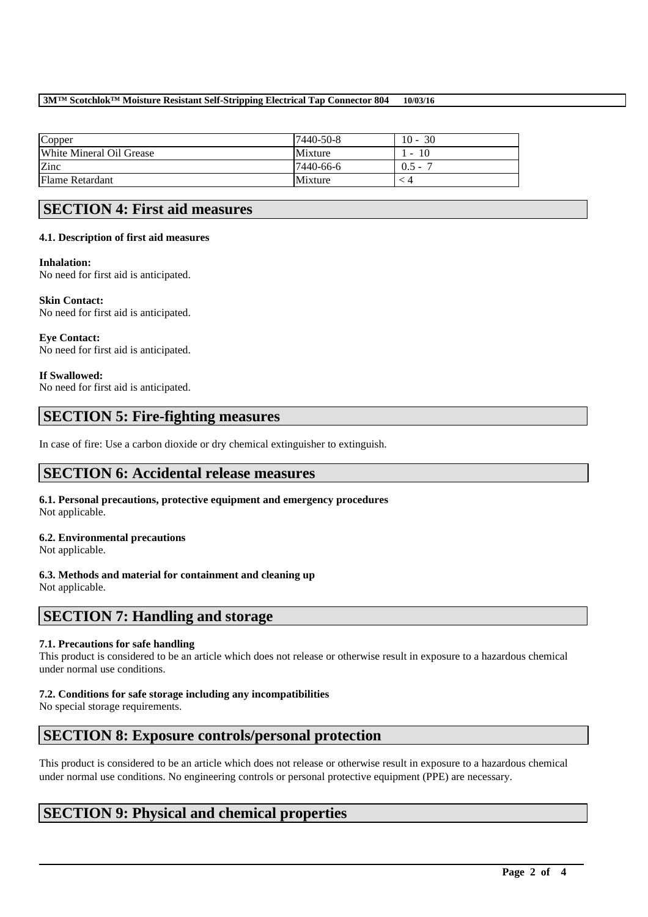## **3M™ Scotchlok™ Moisture Resistant Self-Stripping Electrical Tap Connector 804 10/03/16**

| Copper                   | 7440-50-8 | $10 - 30$    |
|--------------------------|-----------|--------------|
| White Mineral Oil Grease | Mixture   | 10<br>$\sim$ |
| Zinc                     | 7440-66-6 | $0.5 -$      |
| Flame Retardant          | Mixture   |              |

# **SECTION 4: First aid measures**

## **4.1. Description of first aid measures**

## **Inhalation:**

No need for first aid is anticipated.

## **Skin Contact:**

No need for first aid is anticipated.

**Eye Contact:**  No need for first aid is anticipated.

## **If Swallowed:**

No need for first aid is anticipated.

# **SECTION 5: Fire-fighting measures**

In case of fire: Use a carbon dioxide or dry chemical extinguisher to extinguish.

# **SECTION 6: Accidental release measures**

**6.1. Personal precautions, protective equipment and emergency procedures** Not applicable.

# **6.2. Environmental precautions**

Not applicable.

## **6.3. Methods and material for containment and cleaning up** Not applicable.

# **SECTION 7: Handling and storage**

## **7.1. Precautions for safe handling**

This product is considered to be an article which does not release or otherwise result in exposure to a hazardous chemical under normal use conditions.

## **7.2. Conditions for safe storage including any incompatibilities**

No special storage requirements.

# **SECTION 8: Exposure controls/personal protection**

This product is considered to be an article which does not release or otherwise result in exposure to a hazardous chemical under normal use conditions. No engineering controls or personal protective equipment (PPE) are necessary.

\_\_\_\_\_\_\_\_\_\_\_\_\_\_\_\_\_\_\_\_\_\_\_\_\_\_\_\_\_\_\_\_\_\_\_\_\_\_\_\_\_\_\_\_\_\_\_\_\_\_\_\_\_\_\_\_\_\_\_\_\_\_\_\_\_\_\_\_\_\_\_\_\_\_\_\_\_\_\_\_\_\_\_\_\_\_\_\_\_\_

# **SECTION 9: Physical and chemical properties**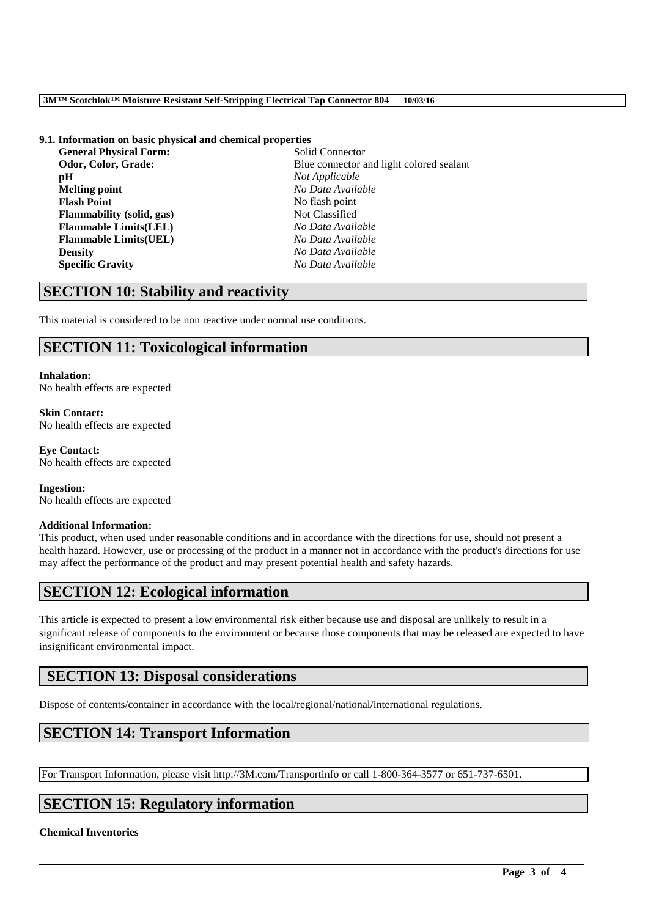#### **3M™ Scotchlok™ Moisture Resistant Self-Stripping Electrical Tap Connector 804 10/03/16**

# **9.1. Information on basic physical and chemical properties**

**General Physical Form: pH** *Not Applicable* **Melting point** *No Data Available* **Flash Point** No flash point **Flammability (solid, gas)** Not Classified **Flammable Limits(LEL)** *No Data Available* **Flammable Limits(UEL)** *No Data Available* **Density** *No Data Available* **Specific Gravity** *No Data Available*

**Odor, Color, Grade: Blue connector and light colored sealant** 

# **SECTION 10: Stability and reactivity**

This material is considered to be non reactive under normal use conditions.

# **SECTION 11: Toxicological information**

#### **Inhalation:**

No health effects are expected

**Skin Contact:** No health effects are expected

**Eye Contact:** No health effects are expected

**Ingestion:** No health effects are expected

## **Additional Information:**

This product, when used under reasonable conditions and in accordance with the directions for use, should not present a health hazard. However, use or processing of the product in a manner not in accordance with the product's directions for use may affect the performance of the product and may present potential health and safety hazards.

# **SECTION 12: Ecological information**

This article is expected to present a low environmental risk either because use and disposal are unlikely to result in a significant release of components to the environment or because those components that may be released are expected to have insignificant environmental impact.

\_\_\_\_\_\_\_\_\_\_\_\_\_\_\_\_\_\_\_\_\_\_\_\_\_\_\_\_\_\_\_\_\_\_\_\_\_\_\_\_\_\_\_\_\_\_\_\_\_\_\_\_\_\_\_\_\_\_\_\_\_\_\_\_\_\_\_\_\_\_\_\_\_\_\_\_\_\_\_\_\_\_\_\_\_\_\_\_\_\_

# **SECTION 13: Disposal considerations**

Dispose of contents/container in accordance with the local/regional/national/international regulations.

# **SECTION 14: Transport Information**

For Transport Information, please visit http://3M.com/Transportinfo or call 1-800-364-3577 or 651-737-6501.

# **SECTION 15: Regulatory information**

## **Chemical Inventories**